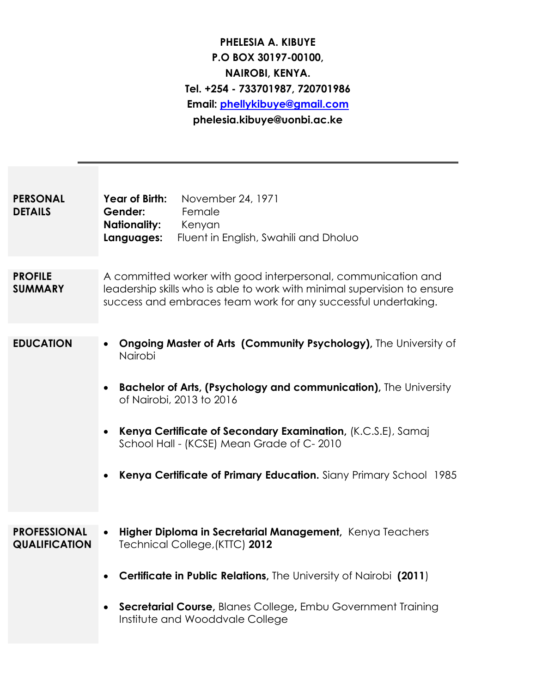# **PHELESIA A. KIBUYE P.O BOX 30197-00100, NAIROBI, KENYA. Tel. +254 - 733701987, 720701986 Email: [phellykibuye@gmail.com](mailto:phellykibuye@gmail.com) phelesia.kibuye@uonbi.ac.ke**

| <b>PERSONAL</b><br><b>DETAILS</b>           | Year of Birth:<br>November 24, 1971<br>Female<br>Gender:<br><b>Nationality:</b><br>Kenyan<br>Languages:<br>Fluent in English, Swahili and Dholuo                                                                                                                                                                                                                             |
|---------------------------------------------|------------------------------------------------------------------------------------------------------------------------------------------------------------------------------------------------------------------------------------------------------------------------------------------------------------------------------------------------------------------------------|
| <b>PROFILE</b><br><b>SUMMARY</b>            | A committed worker with good interpersonal, communication and<br>leadership skills who is able to work with minimal supervision to ensure<br>success and embraces team work for any successful undertaking.                                                                                                                                                                  |
| <b>EDUCATION</b>                            | <b>Ongoing Master of Arts (Community Psychology)</b> , The University of<br>Nairobi<br><b>Bachelor of Arts, (Psychology and communication), The University</b><br>of Nairobi, 2013 to 2016<br>Kenya Certificate of Secondary Examination, (K.C.S.E), Samaj<br>School Hall - (KCSE) Mean Grade of C-2010<br>Kenya Certificate of Primary Education. Siany Primary School 1985 |
| <b>PROFESSIONAL</b><br><b>QUALIFICATION</b> | Higher Diploma in Secretarial Management, Kenya Teachers<br>Technical College, (KTTC) 2012<br>Certificate in Public Relations, The University of Nairobi (2011)<br>Secretarial Course, Blanes College, Embu Government Training<br>Institute and Wooddvale College                                                                                                           |